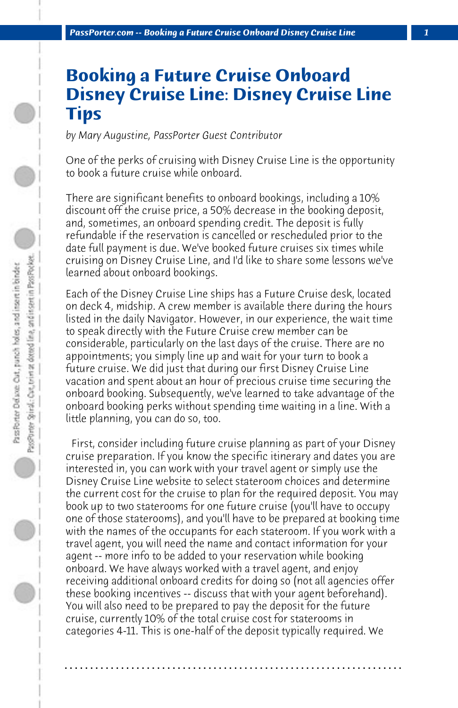## **Booking a Future Cruise Onboard Disney Cruise Line: Disney Cruise Line Tips**

*by Mary Augustine, PassPorter Guest Contributor*

One of the perks of cruising with Disney Cruise Line is the opportunity to book a future cruise while onboard.

There are significant benefits to onboard bookings, including a 10% discount off the cruise price, a 50% decrease in the booking deposit, and, sometimes, an onboard spending credit. The deposit is fully refundable if the reservation is cancelled or rescheduled prior to the date full payment is due. We've booked future cruises six times while cruising on Disney Cruise Line, and I'd like to share some lessons we've learned about onboard bookings.

Each of the Disney Cruise Line ships has a Future Cruise desk, located on deck 4, midship. A crew member is available there during the hours listed in the daily Navigator. However, in our experience, the wait time to speak directly with the Future Cruise crew member can be considerable, particularly on the last days of the cruise. There are no appointments; you simply line up and wait for your turn to book a future cruise. We did just that during our first Disney Cruise Line vacation and spent about an hour of precious cruise time securing the onboard booking. Subsequently, we've learned to take advantage of the onboard booking perks without spending time waiting in a line. With a little planning, you can do so, too.

 First, consider including future cruise planning as part of your Disney cruise preparation. If you know the specific itinerary and dates you are interested in, you can work with your travel agent or simply use the Disney Cruise Line website to select stateroom choices and determine the current cost for the cruise to plan for the required deposit. You may book up to two staterooms for one future cruise (you'll have to occupy one of those staterooms), and you'll have to be prepared at booking time with the names of the occupants for each stateroom. If you work with a travel agent, you will need the name and contact information for your agent -- more info to be added to your reservation while booking onboard. We have always worked with a travel agent, and enjoy receiving additional onboard credits for doing so (not all agencies offer these booking incentives -- discuss that with your agent beforehand). You will also need to be prepared to pay the deposit for the future cruise, currently 10% of the total cruise cost for staterooms in categories 4-11. This is one-half of the deposit typically required. We

**. . . . . . . . . . . . . . . . . . . . . . . . . . . . . . . . . . . . . . . . . . . . . . . . . . . . . . . . . . . . . . . . . .**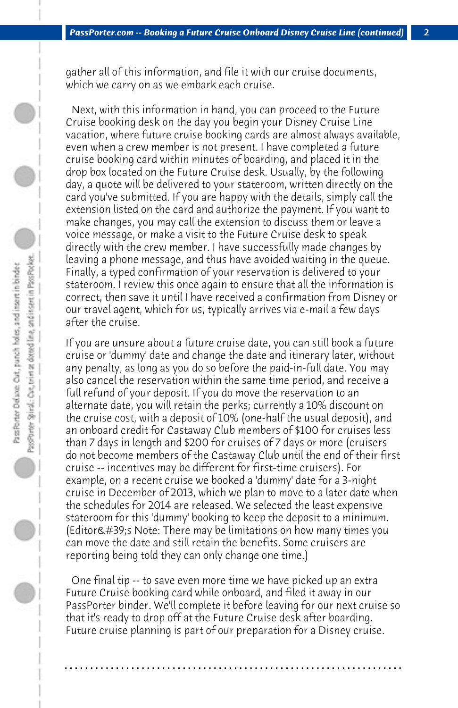gather all of this information, and file it with our cruise documents, which we carry on as we embark each cruise.

 Next, with this information in hand, you can proceed to the Future Cruise booking desk on the day you begin your Disney Cruise Line vacation, where future cruise booking cards are almost always available, even when a crew member is not present. I have completed a future cruise booking card within minutes of boarding, and placed it in the drop box located on the Future Cruise desk. Usually, by the following day, a quote will be delivered to your stateroom, written directly on the card you've submitted. If you are happy with the details, simply call the extension listed on the card and authorize the payment. If you want to make changes, you may call the extension to discuss them or leave a voice message, or make a visit to the Future Cruise desk to speak directly with the crew member. I have successfully made changes by leaving a phone message, and thus have avoided waiting in the queue. Finally, a typed confirmation of your reservation is delivered to your stateroom. I review this once again to ensure that all the information is correct, then save it until I have received a confirmation from Disney or our travel agent, which for us, typically arrives via e-mail a few days after the cruise.

If you are unsure about a future cruise date, you can still book a future cruise or 'dummy' date and change the date and itinerary later, without any penalty, as long as you do so before the paid-in-full date. You may also cancel the reservation within the same time period, and receive a full refund of your deposit. If you do move the reservation to an alternate date, you will retain the perks; currently a 10% discount on the cruise cost, with a deposit of 10% (one-half the usual deposit), and an onboard credit for Castaway Club members of \$100 for cruises less than 7 days in length and \$200 for cruises of 7 days or more (cruisers do not become members of the Castaway Club until the end of their first cruise -- incentives may be different for first-time cruisers). For example, on a recent cruise we booked a 'dummy' date for a 3-night cruise in December of 2013, which we plan to move to a later date when the schedules for 2014 are released. We selected the least expensive stateroom for this 'dummy' booking to keep the deposit to a minimum. (Editor $\&\#39$ ; Note: There may be limitations on how many times you can move the date and still retain the benefits. Some cruisers are reporting being told they can only change one time.)

 One final tip -- to save even more time we have picked up an extra Future Cruise booking card while onboard, and filed it away in our PassPorter binder. We'll complete it before leaving for our next cruise so that it's ready to drop off at the Future Cruise desk after boarding. Future cruise planning is part of our preparation for a Disney cruise.

**. . . . . . . . . . . . . . . . . . . . . . . . . . . . . . . . . . . . . . . . . . . . . . . . . . . . . . . . . . . . . . . . . .**